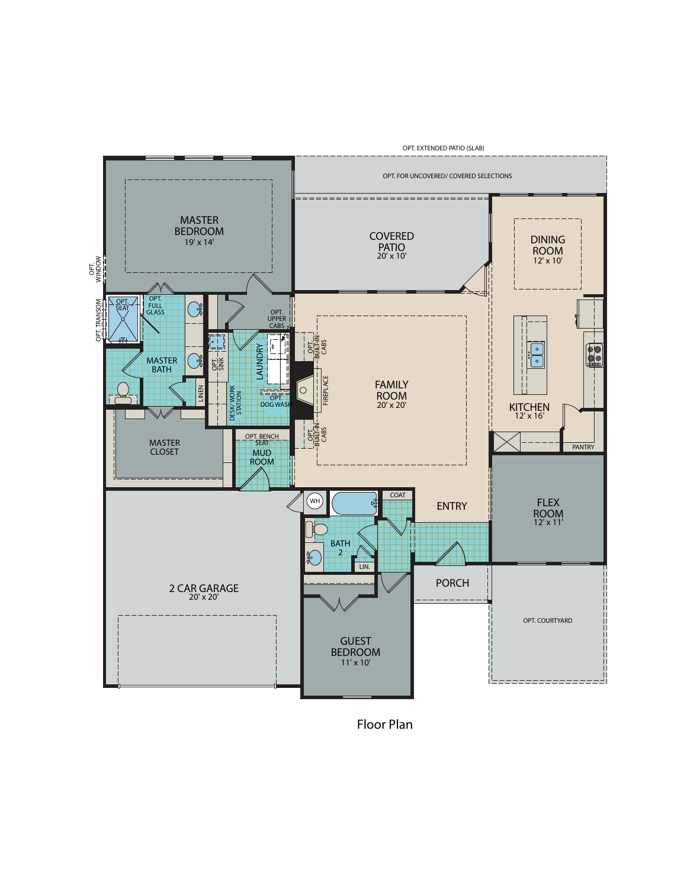

*Floor Plan*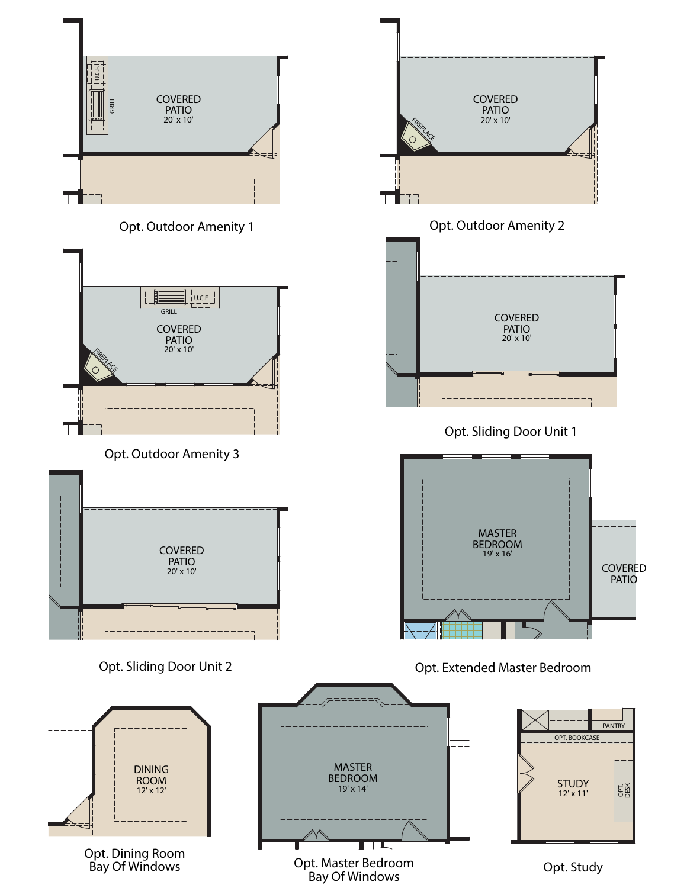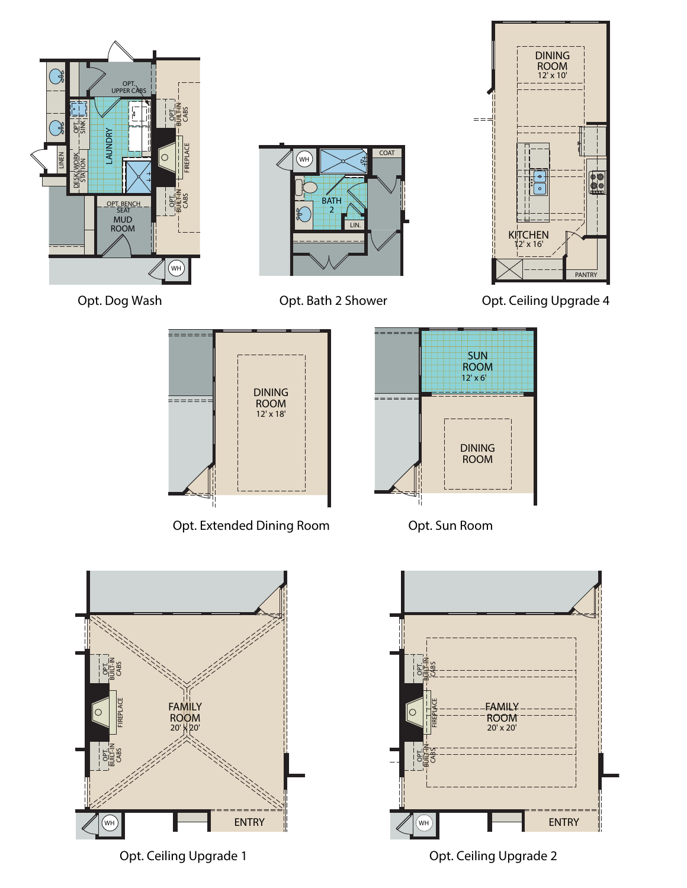

*Opt. Ceiling Upgrade 1*

*Opt. Ceiling Upgrade 2*